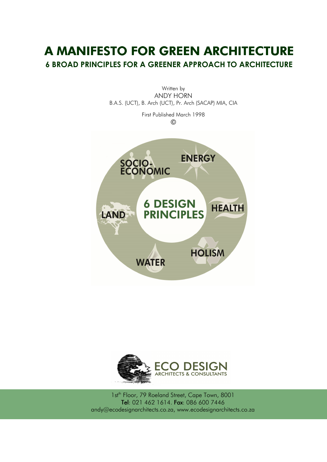# A MANIFESTO FOR GREEN ARCHITECTURE 6 BROAD PRINCIPLES FOR A GREENER APPROACH TO ARCHITECTURE





1st<sup>th</sup> Floor, 79 Roeland Street, Cape Town, 8001 Tel: 021 462 1614. Fax: 086 600 7446 andy@ecodesignarchitects.co.za, www.ecodesignarchitects.co.za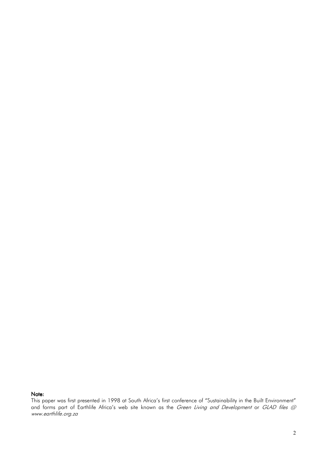#### Note:

This paper was first presented in 1998 at South Africa's first conference of "Sustainability in the Built Environment" and forms part of Earthlife Africa's web site known as the *Green Living and Development* or *GLAD files @* www.earthlife.org.za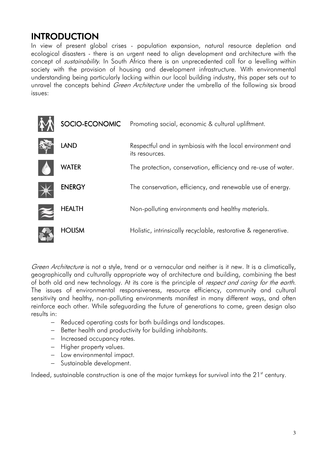## INTRODUCTION

In view of present global crises - population expansion, natural resource depletion and ecological disasters - there is an urgent need to align development and architecture with the concept of *sustainability*. In South Africa there is an unprecedented call for a levelling within society with the provision of housing and development infrastructure. With environmental understanding being particularly lacking within our local building industry, this paper sets out to unravel the concepts behind *Green Architecture* under the umbrella of the following six broad issues:

|               | SOCIO-ECONOMIC Promoting social, economic & cultural upliftment.             |
|---------------|------------------------------------------------------------------------------|
| <b>LAND</b>   | Respectful and in symbiosis with the local environment and<br>its resources. |
| <b>WATER</b>  | The protection, conservation, efficiency and re-use of water.                |
| <b>ENERGY</b> | The conservation, efficiency, and renewable use of energy.                   |
| <b>HEALTH</b> | Non-polluting environments and healthy materials.                            |
| <b>HOLISM</b> | Holistic, intrinsically recyclable, restorative & regenerative.              |

Green Architecture is not a style, trend or a vernacular and neither is it new. It is a climatically, geographically and culturally appropriate way of architecture and building, combining the best of both old and new technology. At its core is the principle of *respect and caring for the earth*. The issues of environmental responsiveness, resource efficiency, community and cultural sensitivity and healthy, non-polluting environments manifest in many different ways, and often reinforce each other. While safeguarding the future of generations to come, green design also results in:

- − Reduced operating costs for both buildings and landscapes.
- − Better health and productivity for building inhabitants.
- − Increased occupancy rates.
- − Higher property values.
- − Low environmental impact.
- − Sustainable development.

Indeed, sustainable construction is one of the major turnkeys for survival into the  $21<sup>st</sup>$  century.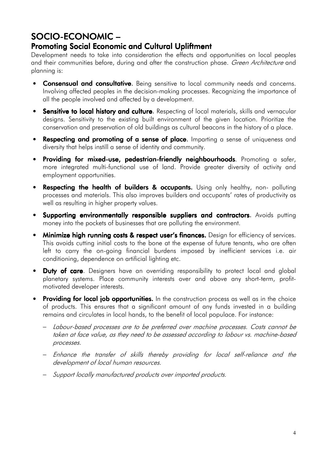## SOCIO-ECONOMIC –

## Promoting Social Economic and Cultural Upliftment

Development needs to take into consideration the effects and opportunities on local peoples and their communities before, during and after the construction phase. Green Architecture and planning is:

- Consensual and consultative. Being sensitive to local community needs and concerns. Involving affected peoples in the decision-making processes. Recognizing the importance of all the people involved and affected by a development.
- Sensitive to local history and culture. Respecting of local materials, skills and vernacular designs. Sensitivity to the existing built environment of the given location. Prioritize the conservation and preservation of old buildings as cultural beacons in the history of a place.
- Respecting and promoting of a sense of place. Imparting a sense of uniqueness and diversity that helps instill a sense of identity and community.
- Providing for mixed-use, pedestrian-friendly neighbourhoods. Promoting a safer, more integrated multi-functional use of land. Provide greater diversity of activity and employment opportunities.
- Respecting the health of builders & occupants. Using only healthy, non- polluting processes and materials. This also improves builders and occupants' rates of productivity as well as resulting in higher property values.
- Supporting environmentally responsible suppliers and contractors. Avoids putting money into the pockets of businesses that are polluting the environment.
- Minimize high running costs & respect user's finances. Design for efficiency of services. This avoids cutting initial costs to the bone at the expense of future tenants, who are often left to carry the on-going financial burdens imposed by inefficient services i.e. air conditioning, dependence on artificial lighting etc.
- Duty of care. Designers have an overriding responsibility to protect local and global planetary systems. Place community interests over and above any short-term, profitmotivated developer interests.
- Providing for local job opportunities. In the construction process as well as in the choice of products. This ensures that a significant amount of any funds invested in a building remains and circulates in local hands, to the benefit of local populace. For instance:
	- − Labour-based processes are to be preferred over machine processes. Costs cannot be taken at face value, as they need to be assessed according to labour vs. machine-based processes.
	- − Enhance the transfer of skills thereby providing for local self-reliance and the development of local human resources.
	- − Support locally manufactured products over imported products.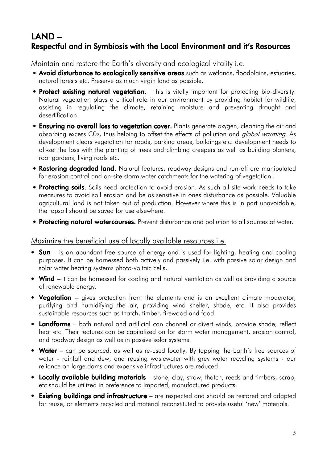## LAND – Respectful and in Symbiosis with the Local Environment and it's Resources

Maintain and restore the Earth's diversity and ecological vitality i.e.

- Avoid disturbance to ecologically sensitive areas such as wetlands, floodplains, estuaries, natural forests etc. Preserve as much virgin land as possible.
- Protect existing natural vegetation. This is vitally important for protecting bio-diversity. Natural vegetation plays a critical role in our environment by providing habitat for wildlife, assisting in regulating the climate, retaining moisture and preventing drought and desertification.
- Ensuring no overall loss to vegetation cover. Plants generate oxygen, cleaning the air and absorbing excess C02, thus helping to offset the effects of pollution and *global warming*. As development clears vegetation for roads, parking areas, buildings etc. development needs to off-set the loss with the planting of trees and climbing creepers as well as building planters, roof gardens, living roofs etc.
- **Restoring degraded land.** Natural features, roadway designs and run-off are manipulated for erosion control and on-site storm water catchments for the watering of vegetation.
- Protecting soils. Soils need protection to avoid erosion. As such all site work needs to take measures to avoid soil erosion and be as sensitive in ones disturbance as possible. Valuable agricultural land is not taken out of production. However where this is in part unavoidable, the topsoil should be saved for use elsewhere.
- **Protecting natural watercourses.** Prevent disturbance and pollution to all sources of water.

## Maximize the beneficial use of locally available resources i.e.

- Sun is an abundant free source of energy and is used for lighting, heating and cooling purposes. It can be harnessed both actively and passively i.e. with passive solar design and solar water heating systems photo-voltaic cells,.
- Wind it can be harnessed for cooling and natural ventilation as well as providing a source of renewable energy.
- Vegetation gives protection from the elements and is an excellent climate moderator, purifying and humidifying the air, providing wind shelter, shade, etc. It also provides sustainable resources such as thatch, timber, firewood and food.
- Landforms both natural and artificial can channel or divert winds, provide shade, reflect heat etc. Their features can be capitalized on for storm water management, erosion control, and roadway design as well as in passive solar systems.
- Water can be sourced, as well as re-used locally. By tapping the Earth's free sources of water - rainfall and dew, and reusing wastewater with grey water recycling systems - our reliance on large dams and expensive infrastructures are reduced.
- Locally available building materials stone, clay, straw, thatch, reeds and timbers, scrap, etc should be utilized in preference to imported, manufactured products.
- Existing buildings and infrastructure are respected and should be restored and adapted for reuse, or elements recycled and material reconstituted to provide useful 'new' materials.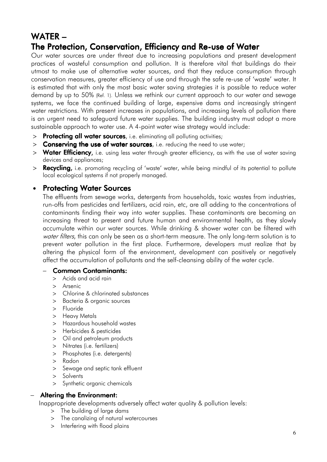## WATER<sub>-</sub>

## The Protection, Conservation, Efficiency and Re-use of Water

Our water sources are under threat due to increasing populations and present development practices of wasteful consumption and pollution. It is therefore vital that buildings do their utmost to make use of alternative water sources, and that they reduce consumption through conservation measures, greater efficiency of use and through the safe re-use of 'waste' water. It is estimated that with only the most basic water saving strategies it is possible to reduce water demand by up to 50% (Ref. 1). Unless we rethink our current approach to our water and sewage systems, we face the continued building of large, expensive dams and increasingly stringent water restrictions. With present increases in populations, and increasing levels of pollution there is an urgent need to safeguard future water supplies. The building industry must adopt a more sustainable approach to water use. A 4-point water wise strategy would include:

- > Protecting all water sources, i.e. eliminating all polluting activities;
- > Conserving the use of water sources, i.e. reducing the need to use water;
- > Water Efficiency, i.e. using less water through greater efficiency, as with the use of water saving devices and appliances;
- > **Recycling**, i.e. promoting recycling of 'waste' water, while being mindful of its potential to pollute local ecological systems if not properly managed.

## • Protecting Water Sources

The effluents from sewage works, detergents from households, toxic wastes from industries, run-offs from pesticides and fertilizers, acid rain, etc, are all adding to the concentrations of contaminants finding their way into water supplies. These contaminants are becoming an increasing threat to present and future human and environmental health, as they slowly accumulate within our water sources. While drinking & shower water can be filtered with water filters, this can only be seen as a short-term measure. The only long-term solution is to prevent water pollution in the first place. Furthermore, developers must realize that by altering the physical form of the environment, development can positively or negatively affect the accumulation of pollutants and the self-cleansing ability of the water cycle.

#### − Common Contaminants: Contaminants:

- > Acids and acid rain
- > Arsenic
- > Chlorine & chlorinated substances
- > Bacteria & organic sources
- > Fluoride
- > Heavy Metals
- > Hazardous household wastes
- > Herbicides & pesticides
- > Oil and petroleum products
- > Nitrates (i.e. fertilizers)
- > Phosphates (i.e. detergents)
- > Radon
- > Sewage and septic tank effluent
- > Solvents
- > Synthetic organic chemicals

#### − Altering the Environment: Altering Environment:

Inappropriate developments adversely affect water quality & pollution levels:

- > The building of large dams
- > The canalizing of natural watercourses
- > Interfering with flood plains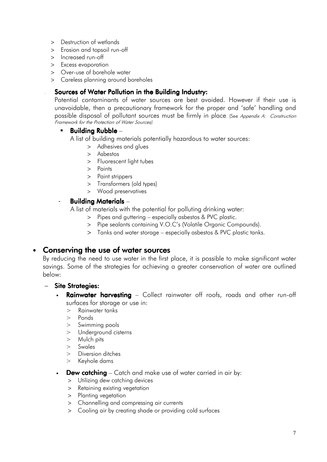- > Destruction of wetlands
- > Erosion and topsoil run-off
- > Increased run-off
- > Excess evaporation
- > Over-use of borehole water
- > Careless planning around boreholes

#### Sources of Water Pollution in the Building Industry:

Potential contaminants of water sources are best avoided. However if their use is unavoidable, then a precautionary framework for the proper and 'safe' handling and possible disposal of pollutant sources must be firmly in place. (See Appendix A: Construction Framework for the Protection of Water Sources).

#### Building Rubble –

A list of building materials potentially hazardous to water sources:

- > Adhesives and glues
- > Asbestos
- > Fluorescent light tubes
- > Paints
- > Paint strippers
- > Transformers (old types)
- > Wood preservatives

#### - Building Materials –

A list of materials with the potential for polluting drinking water:

- Pipes and guttering especially asbestos & PVC plastic.
- > Pipe sealants containing V.O.C's (Volatile Organic Compounds).
- > Tanks and water storage especially asbestos & PVC plastic tanks.

#### • Conserving the use of water sources

By reducing the need to use water in the first place, it is possible to make significant water savings. Some of the strategies for achieving a greater conservation of water are outlined below:

#### Site Strategies:

- **Rainwater harvesting** Collect rainwater off roofs, roads and other run-off surfaces for storage or use in:
	- > Rainwater tanks
	- > Ponds
	- > Swimming pools
	- > Underground cisterns
	- > Mulch pits
	- > Swales
	- > Diversion ditches
	- > Keyhole dams
- **Dew catching** Catch and make use of water carried in air by:
	- > Utilizing dew catching devices
	- > Retaining existing vegetation
	- > Planting vegetation
	- > Channelling and compressing air currents
	- > Cooling air by creating shade or providing cold surfaces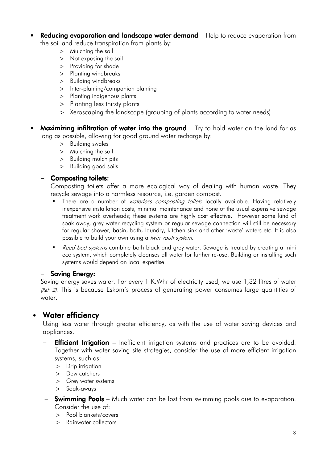- **Reducing evaporation and landscape water demand** Help to reduce evaporation from the soil and reduce transpiration from plants by:
	- > Mulching the soil
	- > Not exposing the soil
	- > Providing for shade
	- > Planting windbreaks
	- > Building windbreaks
	- > Inter-planting/companion planting
	- > Planting indigenous plants
	- > Planting less thirsty plants
	- > Xeroscaping the landscape (grouping of plants according to water needs)
- **Maximizing infiltration of water into the ground** Try to hold water on the land for as long as possible, allowing for good ground water recharge by:
	- > Building swales
	- > Mulching the soil
	- > Building mulch pits
	- > Building good soils

#### − Composting toilets:

Composting toilets offer a more ecological way of dealing with human waste. They recycle sewage into a harmless resource, i.e. garden compost.

- There are a number of *waterless compostina toilets* locally available. Havina relatively inexpensive installation costs, minimal maintenance and none of the usual expensive sewage treatment work overheads; these systems are highly cost effective. However some kind of soak away, grey water recycling system or regular sewage connection will still be necessary for regular shower, basin, bath, laundry, kitchen sink and other 'waste' waters etc. It is also possible to build your own using a *twin vault system.*
- Reed bed systems combine both black and grey water. Sewage is treated by creating a mini eco system, which completely cleanses all water for further re-use. Building or installing such systems would depend on local expertise.

#### − Saving Energy:

Saving energy saves water. For every 1 K.Whr of electricity used, we use 1,32 litres of water (Ref: 2). This is because Eskom's process of generating power consumes large quantities of water.

## • Water efficiency

Using less water through greater efficiency, as with the use of water saving devices and appliances.

- **Efficient Irrigation** Inefficient irrigation systems and practices are to be avoided. Together with water saving site strategies, consider the use of more efficient irrigation systems, such as:
	- > Drip irrigation
	- > Dew catchers
	- > Grey water systems
	- > Soak-aways

#### − **Swimming Pools** – Much water can be lost from swimming pools due to evaporation. Consider the use of:

- > Pool blankets/covers
- > Rainwater collectors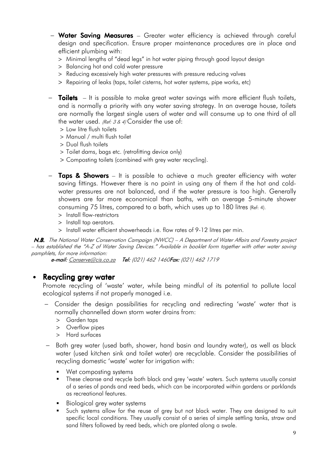- − Water Saving Measures Greater water efficiency is achieved through careful design and specification. Ensure proper maintenance procedures are in place and efficient plumbing with:
	- > Minimal lengths of "dead legs" in hot water piping through good layout design
	- > Balancing hot and cold water pressure
	- > Reducing excessively high water pressures with pressure reducing valves
	- > Repairing of leaks (taps, toilet cisterns, hot water systems, pipe works, etc)
- − Toilets It is possible to make great water savings with more efficient flush toilets, and is normally a priority with any water saving strategy. In an average house, toilets are normally the largest single users of water and will consume up to one third of all the water used. (Ref:  $3 & 4$ ) Consider the use of:
	- > Low litre flush toilets
	- > Manual / multi flush toilet
	- > Dual flush toilets
	- > Toilet dams, bags etc. (retrofitting device only)
	- > Composting toilets (combined with grey water recycling).
- − Taps & Showers It is possible to achieve a much greater efficiency with water saving fittings. However there is no point in using any of them if the hot and coldwater pressures are not balanced, and if the water pressure is too high. Generally showers are far more economical than baths, with an average 5-minute shower consuming 75 litres, compared to a bath, which uses up to 180 litres (Ref: 4).
	- > Install flow-restrictors
	- > Install tap aerators.
	- > Install water efficient showerheads i.e. flow rates of 9-12 litres per min.

**N.B.** The National Water Conservation Campaian (NWCC) – A Department of Water Affairs and Forestry project – has established the "A-Z of Water Saving Devices." Available in booklet form together with other water saving pamphlets, for more information:

e-mail: Conserve@cis.co.za Tel: (021) 462 1460 Fax: (021) 462 1719

#### • Recycling grey water

Promote recycling of 'waste' water, while being mindful of its potential to pollute local ecological systems if not properly managed i.e.

- − Consider the design possibilities for recycling and redirecting 'waste' water that is normally channelled down storm water drains from:
	- > Garden taps
	- > Overflow pipes
	- > Hard surfaces
- − Both grey water (used bath, shower, hand basin and laundry water), as well as black water (used kitchen sink and toilet water) are recyclable. Consider the possibilities of recycling domestic 'waste' water for irrigation with:
	- **Wet composting systems**
	- **These cleanse and recycle both black and grey 'waste' waters. Such systems usually consist** of a series of ponds and reed beds, which can be incorporated within gardens or parklands as recreational features.
	- Biological grey water systems
	- Such systems allow for the reuse of grey but not black water. They are designed to suit specific local conditions. They usually consist of a series of simple settling tanks, straw and sand filters followed by reed beds, which are planted along a swale.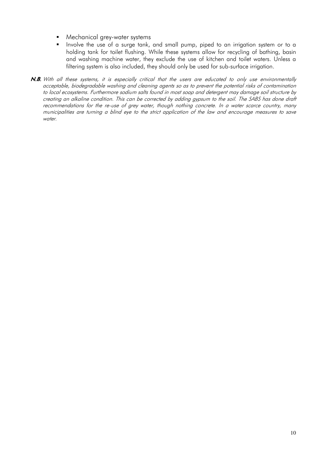- Mechanical grey-water systems
- **I** Involve the use of a surge tank, and small pump, piped to an irrigation system or to a holding tank for toilet flushing. While these systems allow for recycling of bathing, basin and washing machine water, they exclude the use of kitchen and toilet waters. Unless a filtering system is also included, they should only be used for sub-surface irrigation.
- N.B. With all these systems, it is especially critical that the users are educated to only use environmentally acceptable, biodegradable washing and cleaning agents so as to prevent the potential risks of contamination to local ecosystems. Furthermore sodium salts found in most soap and detergent may damage soil structure by creating an alkaline condition. This can be corrected by adding gypsum to the soil. The SABS has done draft recommendations for the re-use of grey water, though nothing concrete. In a water scarce country, many municipalities are turning a blind eye to the strict application of the law and encourage measures to save water.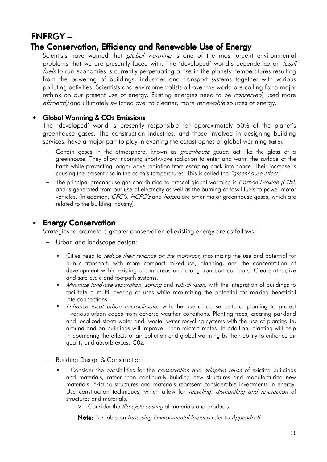## ENERGY – – The Conservation, Efficiency and Renewable Use of Energy

Scientists have warned that *global warming* is one of the most urgent environmental problems that we are presently faced with. The 'developed' world's dependence on *fossil* fuels to run economies is currently perpetuating a rise in the planets' temperatures resulting from the powering of buildings, industries and transport systems together with various polluting activities. Scientists and environmentalists all over the world are calling for a major rethink on our present use of energy. Existing energies need to be *conserved*, used more efficiently and ultimately switched over to cleaner, more *renewable* sources of energy.

### • Global Warming & CO<sub>2</sub> Emissions

The 'developed' world is presently responsible for approximately 50% of the planet's greenhouse gases. The construction industries, and those involved in designing building services, have a major part to play in averting the catastrophes of global warming (Ref 5).

- Certain gases in the atmosphere, known as *greenhouse gases*, act like the glass of a greenhouse. They allow incoming short-wave radiation to enter and warm the surface of the Earth while preventing longer-wave radiation from escaping back into space. Their increase is causing the present rise in the earth's temperatures. This is called the "greenhouse effect."
- − The principal greenhouse gas contributing to present global warming is Carbon Dioxide (C02), and is generated from our use of electricity as well as the burning of fossil fuels to power motor vehicles. (In addition,  $CFC's$ , HCFC's and *halons* are other major greenhouse gases, which are related to the building industry).

## **Energy Conservation**

Strategies to promote a greater conservation of existing energy are as follows:

- − Urban and landscape design:
	- Cities need to *reduce their reliance on the motorcar*, maximizing the use and potential for public transport, with more compact mixed-use, planning, and the concentration of development within existing urban areas and along transport corridors. Create attractive and safe cycle and footpath systems.
	- Minimize land-use separation, zoning and sub-division, with the integration of buildings to facilitate a multi layering of uses while maximizing the potential for making beneficial interconnections.
	- **Enhance local urban microclimates with the use of dense belts of planting to protect**  various urban edges from adverse weather conditions. Planting trees, creating parkland and localized storm water and 'waste' water recycling systems with the use of planting in, around and on buildings will improve urban microclimates. In addition, planting will help in countering the effects of air pollution and global warming by their ability to enhance air quality and absorb excess C02.
- − Building Design & Construction:
	- Consider the possibilities for the *conservation* and *adaptive reuse* of existing buildings and materials, rather than continually building new structures and manufacturing new materials. Existing structures and materials represent considerable investments in energy. Use construction techniques, which allow for *recycling, dismantling and re-erection* of structures and materials.
		- > Consider the *life cycle costing* of materials and products.

Note: For table on Assessing Environmental Impacts refer to Appendix B.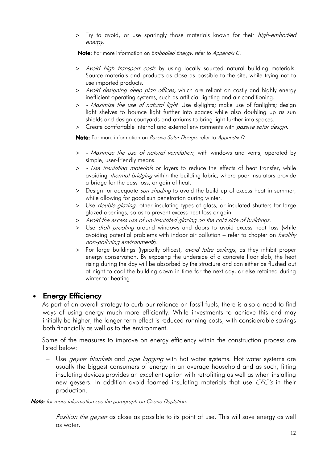> Try to avoid, or use sparingly those materials known for their *high-embodied* energy.

Note: For more information on Embodied Energy, refer to Appendix C.

- > Avoid high transport costs by using locally sourced natural building materials. Source materials and products as close as possible to the site, while trying not to use imported products.
- > Avoid designing deep plan offices, which are reliant on costly and highly energy inefficient operating systems, such as artificial lighting and air-conditioning.
- > Maximize the use of natural light. Use skylights; make use of fanlights; design light shelves to bounce light further into spaces while also doubling up as sun shields and design courtyards and atriums to bring light further into spaces.
- > Create comfortable internal and external environments with *passive solar design*.

Note: For more information on Passive Solar Design, refer to Appendix D.

- > Maximize the use of natural ventilation, with windows and vents, operated by simple, user-friendly means.
- > Use insulating materials or layers to reduce the effects of heat transfer, while avoiding *thermal bridging* within the building fabric, where poor insulators provide a bridge for the easy loss, or gain of heat.
- > Design for adequate *sun shading* to avoid the build up of excess heat in summer, while allowing for good sun penetration during winter.
- > Use *double-glazing*, other insulating types of glass, or insulated shutters for large glazed openings, so as to prevent excess heat loss or gain.
- > Avoid the excess use of un-insulated glazing on the cold side of buildings.
- > Use *draft proofing* around windows and doors to avoid excess heat loss (while avoiding potential problems with indoor air pollution – refer to chapter on *healthy* non-polluting environments).
- > For large buildings (typically offices), avoid false ceilings, as they inhibit proper energy conservation. By exposing the underside of a concrete floor slab, the heat rising during the day will be absorbed by the structure and can either be flushed out at night to cool the building down in time for the next day, or else retained during winter for heating.

## **Energy Efficiency**

As part of an overall strategy to curb our reliance on fossil fuels, there is also a need to find ways of using energy much more efficiently. While investments to achieve this end may initially be higher, the longer-term effect is reduced running costs, with considerable savings both financially as well as to the environment.

Some of the measures to improve on energy efficiency within the construction process are listed below:

− Use *geyser blankets* and *pipe lagging* with hot water systems. Hot water systems are usually the biggest consumers of energy in an average household and as such, fitting insulating devices provides an excellent option with retrofitting as well as when installing new geysers. In addition avoid foamed insulating materials that use CFC's in their production.

Note: for more information see the paragraph on Ozone Depletion.

− Position the geyser as close as possible to its point of use. This will save energy as well as water.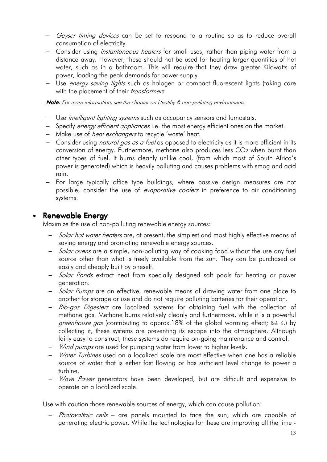- − Geyser timing devices can be set to respond to a routine so as to reduce overall consumption of electricity.
- − Consider using *instantaneous heaters* for small uses, rather than piping water from a distance away. However, these should not be used for heating larger quantities of hot water, such as in a bathroom. This will require that they draw greater Kilowatts of power, loading the peak demands for power supply.
- − Use energy saving lights such as halogen or compact fluorescent lights (taking care with the placement of their *transformers*.

Note: For more information, see the chapter on Healthy & non-polluting environments.

- − Use *intelligent lighting systems* such as occupancy sensors and lumostats.
- − Specify *energy efficient appliances* i.e. the most energy efficient ones on the market.
- − Make use of heat exchangers to recycle 'waste' heat.
- − Consider using *natural gas as a fuel* as opposed to electricity as it is more efficient in its conversion of energy. Furthermore, methane also produces less CO2 when burnt than other types of fuel. It burns cleanly unlike coal, (from which most of South Africa's power is generated) which is heavily polluting and causes problems with smog and acid rain.
- − For large typically office type buildings, where passive design measures are not possible, consider the use of *evaporative coolers* in preference to air conditioning systems.

## • Renewable Energy

Maximize the use of non-polluting renewable energy sources:

- − Solar hot water heaters are, at present, the simplest and most highly effective means of saving energy and promoting renewable energy sources.
- − Solar ovens are a simple, non-polluting way of cooking food without the use any fuel source other than what is freely available from the sun. They can be purchased or easily and cheaply built by oneself.
- − Solar Ponds extract heat from specially designed salt pools for heating or power generation.
- − Solar Pumps are an effective, renewable means of drawing water from one place to another for storage or use and do not require polluting batteries for their operation.
- − Bio-gas Digesters are localized systems for obtaining fuel with the collection of methane gas. Methane burns relatively cleanly and furthermore, while it is a powerful greenhouse gas (contributing to approx.18% of the global warming effect; Ref: 6.) by collecting it, these systems are preventing its escape into the atmosphere. Although fairly easy to construct, these systems do require on-going maintenance and control.
- − *Wind pumps* are used for pumping water from lower to higher levels.
- − Water Turbines used on a localized scale are most effective when one has a reliable source of water that is either fast flowing or has sufficient level change to power a turbine.
- − Wave Power generators have been developed, but are difficult and expensive to operate on a localized scale.

Use with caution those renewable sources of energy, which can cause pollution:

− Photovoltaic cells – are panels mounted to face the sun, which are capable of generating electric power. While the technologies for these are improving all the time -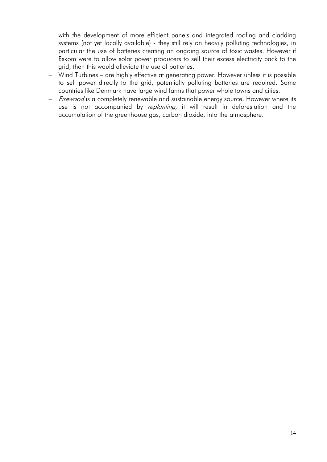with the development of more efficient panels and integrated roofing and cladding systems (not yet locally available) - they still rely on heavily polluting technologies, in particular the use of batteries creating an ongoing source of toxic wastes. However if Eskom were to allow solar power producers to sell their excess electricity back to the grid, then this would alleviate the use of batteries.

- − Wind Turbines are highly effective at generating power. However unless it is possible to sell power directly to the grid, potentially polluting batteries are required. Some countries like Denmark have large wind farms that power whole towns and cities.
- − Firewood is a completely renewable and sustainable energy source. However where its use is not accompanied by *replanting*, it will result in deforestation and the accumulation of the greenhouse gas, carbon dioxide, into the atmosphere.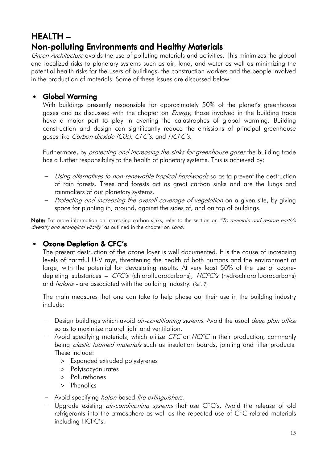## HEALTH – – Non-polluting Environments and Healthy Materials

Green Architecture avoids the use of polluting materials and activities. This minimizes the global and localized risks to planetary systems such as air, land, and water as well as minimizing the potential health risks for the users of buildings, the construction workers and the people involved in the production of materials. Some of these issues are discussed below:

## • Global Warming

With buildings presently responsible for approximately 50% of the planet's greenhouse gases and as discussed with the chapter on *Energy*, those involved in the building trade have a major part to play in averting the catastrophes of global warming. Building construction and design can significantly reduce the emissions of principal greenhouse gases like Carbon dioxide (CO2), CFC's, and HCFC's.

Furthermore, by *protecting and increasing the sinks for greenhouse gases* the building trade has a further responsibility to the health of planetary systems. This is achieved by:

- − Using alternatives to non-renewable tropical hardwoods so as to prevent the destruction of rain forests. Trees and forests act as great carbon sinks and are the lungs and rainmakers of our planetary systems.
- − Protecting and increasing the overall coverage of vegetation on a given site, by giving space for planting in, around, against the sides of, and on top of buildings.

Note: For more information on increasing carbon sinks, refer to the section on "To maintain and restore earth's diversity and ecological vitality" as outlined in the chapter on Land.

## • Ozone Depletion & CFC's

The present destruction of the ozone layer is well documented. It is the cause of increasing levels of harmful U-V rays, threatening the health of both humans and the environment at large, with the potential for devastating results. At very least 50% of the use of ozonedepleting substances – CFC's (chlorofluorocarbons), HCFC's (hydrochlorofluorocarbons) and *halons* - are associated with the building industry. (Ref: 7)

The main measures that one can take to help phase out their use in the building industry include:

- − Design buildings which avoid air-conditioning systems. Avoid the usual deep plan office so as to maximize natural light and ventilation.
- − Avoid specifying materials, which utilize CFC or HCFC in their production, commonly being *plastic foamed materials* such as insulation boards, jointing and filler products. These include:
	- > Expanded extruded polystyrenes
	- > Polyisocyanurates
	- > Polurethanes
	- > Phenolics
- − Avoid specifying halon-based fire extinguishers.
- − Upgrade existing *air-conditioning systems* that use CFC's. Avoid the release of old refrigerants into the atmosphere as well as the repeated use of CFC-related materials including HCFC's.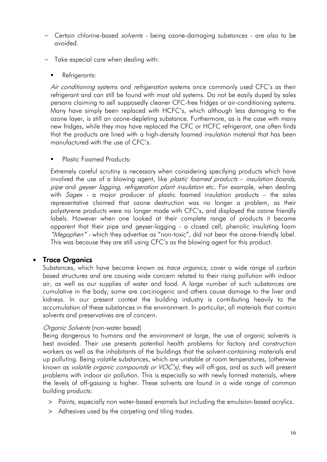- − Certain chlorine-based solvents being ozone-damaging substances are also to be avoided.
- − Take especial care when dealing with:
	- Refrigerants:

Air conditioning systems and refrigeration systems once commonly used CFC's as their refrigerant and can still be found with most old systems. Do not be easily duped by sales persons claiming to sell supposedly cleaner CFC-free fridges or air-conditioning systems. Many have simply been replaced with HCFC's, which although less damaging to the ozone layer, is still an ozone-depleting substance. Furthermore, as is the case with many new fridges, while they may have replaced the CFC or HCFC refrigerant, one often finds that the products are lined with a high-density foamed insulation material that has been manufactured with the use of CFC's.

Plastic Foamed Products:

Extremely careful scrutiny is necessary when considering specifying products which have involved the use of a blowing agent, like *plastic foamed products – insulation boards*, pipe and geyser lagging, refrigeration plant insulation etc. For example, when dealing with  $Sagger$  - a major producer of plastic foamed insulation products – the sales representative claimed that ozone destruction was no longer a problem, as their polystyrene products were no longer made with CFC's, and displayed the ozone friendly labels. However when one looked at their complete range of products it became apparent that their pipe and geyser-lagging - a closed cell, phenolic insulating foam "Megaphen" - which they advertise as "non-toxic", did not bear the ozone-friendly label. This was because they are still using CFC's as the blowing agent for this product.

## • Trace Organics

Substances, which have become known as *trace organics*, cover a wide range of carbon based structures and are causing wide concern related to their rising pollution with indoor air, as well as our supplies of water and food. A large number of such substances are cumulative in the body; some are carcinogenic and others cause damage to the liver and kidneys. In our present context the building industry is contributing heavily to the accumulation of these substances in the environment. In particular, all materials that contain solvents and preservatives are of concern.

#### Organic Solvents (non-water based)

Being dangerous to humans and the environment at large, the use of organic solvents is best avoided. Their use presents potential health problems for factory and construction workers as well as the inhabitants of the buildings that the solvent-containing materials end up polluting. Being volatile substances, which are unstable at room temperatures, (otherwise known as volatile organic compounds or VOC's), they will off-gas, and as such will present problems with indoor air pollution. This is especially so with newly formed materials, where the levels of off-gassing is higher. These solvents are found in a wide range of common building products:

- > Paints, especially non water-based enamels but including the emulsion-based acrylics.
- > Adhesives used by the carpeting and tiling trades.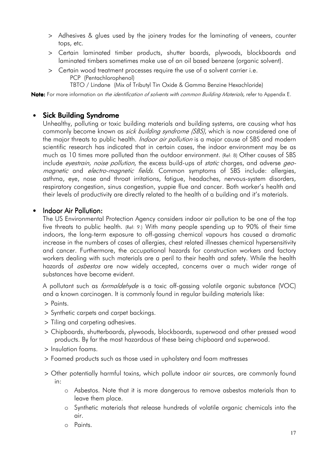- > Adhesives & glues used by the joinery trades for the laminating of veneers, counter tops, etc.
- > Certain laminated timber products, shutter boards, plywoods, blockboards and laminated timbers sometimes make use of an oil based benzene (organic solvent).
- > Certain wood treatment processes require the use of a solvent carrier i.e. PCP (Pentachlorophenol) TBTO / Lindane (Mix of Tributyl Tin Oxide & Gamma Benzine Hexachloride)

Note: For more information on *the identification of solvents with common Building Materials,* refer to Appendix E.

### • Sick Building Syndrome

Unhealthy, polluting or toxic building materials and building systems, are causing what has commonly become known as *sick building syndrome (SBS)*, which is now considered one of the major threats to public health. *Indoor air pollution* is a major cause of SBS and modern scientific research has indicated that in certain cases, the indoor environment may be as much as 10 times more polluted than the outdoor environment. (Ref: 8) Other causes of SBS include eyestrain, noise pollution, the excess build-ups of static charges, and adverse geomagnetic and electro-magnetic fields. Common symptoms of SBS include: allergies, asthma, eye, nose and throat irritations, fatigue, headaches, nervous-system disorders, respiratory congestion, sinus congestion, yuppie flue and cancer. Both worker's health and their levels of productivity are directly related to the health of a building and it's materials.

#### • Indoor Air Pollution:

The US Environmental Protection Agency considers indoor air pollution to be one of the top five threats to public health. (Ref: 9.) With many people spending up to 90% of their time indoors, the long-term exposure to off-gassing chemical vapours has caused a dramatic increase in the numbers of cases of allergies, chest related illnesses chemical hypersensitivity and cancer. Furthermore, the occupational hazards for construction workers and factory workers dealing with such materials are a peril to their health and safety. While the health hazards of *asbestos* are now widely accepted, concerns over a much wider range of substances have become evident.

A pollutant such as *formaldehyde* is a toxic off-gassing volatile organic substance (VOC) and a known carcinogen. It is commonly found in regular building materials like:

- > Paints.
- > Synthetic carpets and carpet backings.
- > Tiling and carpeting adhesives.
- > Chipboards, shutterboards, plywoods, blockboards, superwood and other pressed wood products. By far the most hazardous of these being chipboard and superwood.
- > Insulation foams.
- > Foamed products such as those used in upholstery and foam mattresses
- > Other potentially harmful toxins, which pollute indoor air sources, are commonly found in:
	- o Asbestos. Note that it is more dangerous to remove asbestos materials than to leave them place.
	- o Synthetic materials that release hundreds of volatile organic chemicals into the air.
	- o Paints.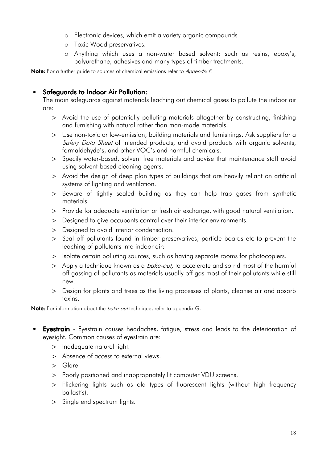- o Electronic devices, which emit a variety organic compounds.
- o Toxic Wood preservatives.
- o Anything which uses a non-water based solvent; such as resins, epoxy's, polyurethane, adhesives and many types of timber treatments.

Note: For a further guide to sources of chemical emissions refer to Appendix F.

### • Safeguards to Indoor Air Pollution:

The main safeguards against materials leaching out chemical gases to pollute the indoor air are:

- > Avoid the use of potentially polluting materials altogether by constructing, finishing and furnishing with natural rather than man-made materials.
- > Use non-toxic or low-emission, building materials and furnishings. Ask suppliers for a Safety Data Sheet of intended products, and avoid products with organic solvents, formaldehyde's, and other VOC's and harmful chemicals.
- > Specify water-based, solvent free materials and advise that maintenance staff avoid using solvent-based cleaning agents.
- > Avoid the design of deep plan types of buildings that are heavily reliant on artificial systems of lighting and ventilation.
- > Beware of tightly sealed building as they can help trap gases from synthetic materials.
- > Provide for adequate ventilation or fresh air exchange, with good natural ventilation.
- > Designed to give occupants control over their interior environments.
- > Designed to avoid interior condensation.
- > Seal off pollutants found in timber preservatives, particle boards etc to prevent the leaching of pollutants into indoor air;
- > Isolate certain polluting sources, such as having separate rooms for photocopiers.
- > Apply a technique known as a *bake-out*, to accelerate and so rid most of the harmful off gassing of pollutants as materials usually off gas most of their pollutants while still new.
- > Design for plants and trees as the living processes of plants, cleanse air and absorb toxins.

Note: For information about the *bake-out* technique, refer to appendix G.

- Eyestrain Eyestrain causes headaches, fatigue, stress and leads to the deterioration of eyesight. Common causes of eyestrain are:
	- > Inadequate natural light.
	- > Absence of access to external views.
	- > Glare.
	- > Poorly positioned and inappropriately lit computer VDU screens.
	- > Flickering lights such as old types of fluorescent lights (without high frequency ballast's).
	- > Single end spectrum lights.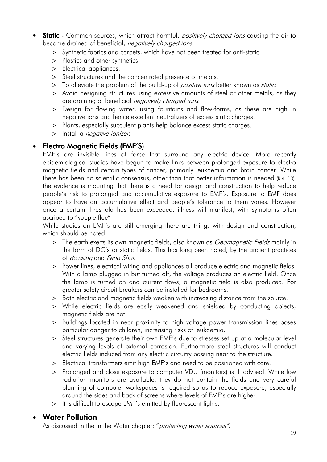- **Static** Common sources, which attract harmful, *positively charged ions* causing the air to become drained of beneficial, *negatively charged ions*:
	- > Synthetic fabrics and carpets, which have not been treated for anti-static.
	- > Plastics and other synthetics.
	- > Electrical appliances.
	- > Steel structures and the concentrated presence of metals.
	- > To alleviate the problem of the build-up of *positive ions* better known as *static*:
	- > Avoid designing structures using excessive amounts of steel or other metals, as they are draining of beneficial *negatively charged ions*.
	- > Design for flowing water, using fountains and flow-forms, as these are high in negative ions and hence excellent neutralizers of excess static charges.
	- > Plants, especially succulent plants help balance excess static charges.
	- > Install a *negative ionizer*.

## **Electro Magnetic Fields (EMF'S)**

EMF's are invisible lines of force that surround any electric device. More recently epidemiological studies have begun to make links between prolonged exposure to electro magnetic fields and certain types of cancer, primarily leukaemia and brain cancer. While there has been no scientific consensus, other than that better information is needed (Ref: 10), the evidence is mounting that there is a need for design and construction to help reduce people's risk to prolonged and accumulative exposure to EMF's. Exposure to EMF does appear to have an accumulative effect and people's tolerance to them varies. However once a certain threshold has been exceeded, illness will manifest, with symptoms often ascribed to "yuppie flue"

While studies on EMF's are still emerging there are things with design and construction, which should be noted:

- > The earth exerts its own magnetic fields, also known as *Geomagnetic Fields* mainly in the form of DC's or static fields. This has long been noted, by the ancient practices of dowsing and Feng Shui.
- > Power lines, electrical wiring and appliances all produce electric and magnetic fields. With a lamp plugged in but turned off, the voltage produces an electric field. Once the lamp is turned on and current flows, a magnetic field is also produced. For greater safety circuit breakers can be installed for bedrooms.
- > Both electric and magnetic fields weaken with increasing distance from the source.
- > While electric fields are easily weakened and shielded by conducting objects, magnetic fields are not.
- > Buildings located in near proximity to high voltage power transmission lines poses particular danger to children, increasing risks of leukaemia.
- > Steel structures generate their own EMF's due to stresses set up at a molecular level and varying levels of external corrosion. Furthermore steel structures will conduct electric fields induced from any electric circuitry passing near to the structure.
- > Electrical transformers emit high EMF's and need to be positioned with care.
- > Prolonged and close exposure to computer VDU (monitors) is ill advised. While low radiation monitors are available, they do not contain the fields and very careful planning of computer workspaces is required so as to reduce exposure, especially around the sides and back of screens where levels of EMF's are higher.
- > It is difficult to escape EMF's emitted by fluorescent lights.

## **Water Pollution**

As discussed in the in the Water chapter: "protecting water sources".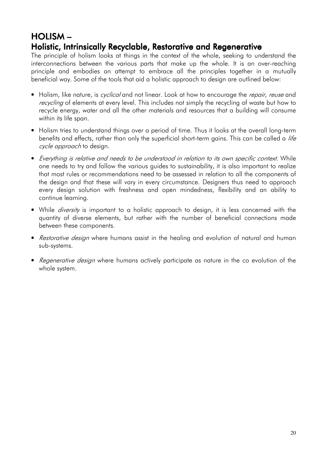## HOLISM– Holistic, Intrinsically Recyclable, Restorative and Regenerative

The principle of holism looks at things in the context of the whole, seeking to understand the interconnections between the various parts that make up the whole. It is an over-reaching principle and embodies an attempt to embrace all the principles together in a mutually beneficial way. Some of the tools that aid a holistic approach to design are outlined below:

- Holism, like nature, is *cyclical* and not linear. Look at how to encourage the *repair, reuse* and recycling of elements at every level. This includes not simply the recycling of waste but how to recycle energy, water and all the other materials and resources that a building will consume within its life span.
- Holism tries to understand things over a period of time. Thus it looks at the overall long-term benefits and effects, rather than only the superficial short-term gains. This can be called a *life* cycle approach to design.
- Everything is relative and needs to be understood in relation to its own specific context. While one needs to try and follow the various guides to sustainability, it is also important to realize that most rules or recommendations need to be assessed in relation to all the components of the design and that these will vary in every circumstance. Designers thus need to approach every design solution with freshness and open mindedness, flexibility and an ability to continue learning.
- While *diversity* is important to a holistic approach to design, it is less concerned with the quantity of diverse elements, but rather with the number of beneficial connections made between these components.
- Restorative design where humans assist in the healing and evolution of natural and human sub-systems.
- Regenerative design where humans actively participate as nature in the co evolution of the whole system.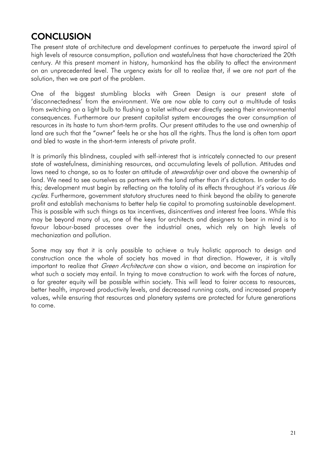## **CONCLUSION**

The present state of architecture and development continues to perpetuate the inward spiral of high levels of resource consumption, pollution and wastefulness that have characterized the 20th century. At this present moment in history, humankind has the ability to affect the environment on an unprecedented level. The urgency exists for all to realize that, if we are not part of the solution, then we are part of the problem.

One of the biggest stumbling blocks with Green Design is our present state of 'disconnectedness' from the environment. We are now able to carry out a multitude of tasks from switching on a light bulb to flushing a toilet without ever directly seeing their environmental consequences. Furthermore our present capitalist system encourages the over consumption of resources in its haste to turn short-term profits. Our present attitudes to the use and ownership of land are such that the "owner" feels he or she has all the rights. Thus the land is often torn apart and bled to waste in the short-term interests of private profit.

It is primarily this blindness, coupled with self-interest that is intricately connected to our present state of wastefulness, diminishing resources, and accumulating levels of pollution. Attitudes and laws need to change, so as to foster an attitude of *stewardship* over and above the ownership of land. We need to see ourselves as partners with the land rather than it's dictators. In order to do this; development must begin by reflecting on the totality of its effects throughout it's various life cycles. Furthermore, government statutory structures need to think beyond the ability to generate profit and establish mechanisms to better help tie capital to promoting sustainable development. This is possible with such things as tax incentives, disincentives and interest free loans. While this may be beyond many of us, one of the keys for architects and designers to bear in mind is to favour labour-based processes over the industrial ones, which rely on high levels of mechanization and pollution.

Some may say that it is only possible to achieve a truly holistic approach to design and construction once the whole of society has moved in that direction. However, it is vitally important to realize that *Green Architecture* can show a vision, and become an inspiration for what such a society may entail. In trying to move construction to work with the forces of nature, a far greater equity will be possible within society. This will lead to fairer access to resources, better health, improved productivity levels, and decreased running costs, and increased property values, while ensuring that resources and planetary systems are protected for future generations to come.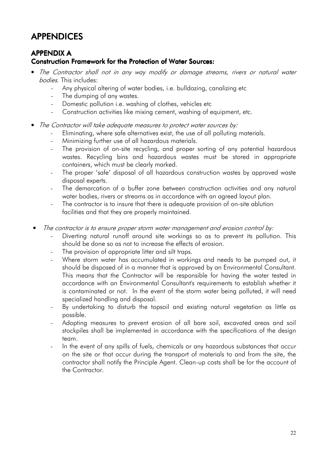## APPENDICES

## **APPENDIX A**

### Construction Framework for the Protection of Water Sources:

- The Contractor shall not in any way modify or damage streams, rivers or natural water bodies. This includes:
	- Any physical altering of water bodies, i.e. bulldozing, canalizing etc
	- The dumping of any wastes.
	- Domestic pollution i.e. washing of clothes, vehicles etc
	- Construction activities like mixing cement, washing of equipment, etc.
- The Contractor will take adequate measures to protect water sources by:
	- Eliminating, where safe alternatives exist, the use of all polluting materials.
	- Minimizing further use of all hazardous materials.
	- The provision of on-site recycling, and proper sorting of any potential hazardous wastes. Recycling bins and hazardous wastes must be stored in appropriate containers, which must be clearly marked.
	- The proper 'safe' disposal of all hazardous construction wastes by approved waste disposal experts.
	- The demarcation of a buffer zone between construction activities and any natural water bodies, rivers or streams as in accordance with an agreed layout plan.
	- The contractor is to insure that there is adequate provision of on-site ablution facilities and that they are properly maintained.
- The contractor is to ensure proper storm water management and erosion control by:
	- Diverting natural runoff around site workings so as to prevent its pollution. This should be done so as not to increase the effects of erosion.
	- The provision of appropriate litter and silt traps.
	- Where storm water has accumulated in workings and needs to be pumped out, it should be disposed of in a manner that is approved by an Environmental Consultant. This means that the Contractor will be responsible for having the water tested in accordance with an Environmental Consultant's requirements to establish whether it is contaminated or not. In the event of the storm water being polluted, it will need specialized handling and disposal.
	- By undertaking to disturb the topsoil and existing natural vegetation as little as possible.
	- Adopting measures to prevent erosion of all bare soil, excavated areas and soil stockpiles shall be implemented in accordance with the specifications of the design team.
	- In the event of any spills of fuels, chemicals or any hazardous substances that occur on the site or that occur during the transport of materials to and from the site, the contractor shall notify the Principle Agent. Clean-up costs shall be for the account of the Contractor.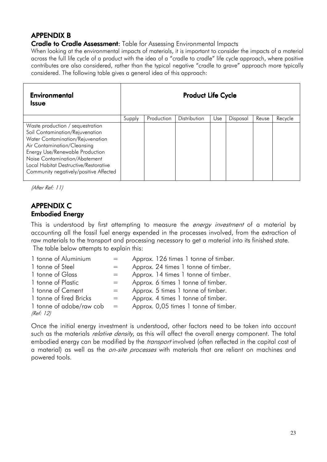## APPENDIX B

Cradle to Cradle Assessment: Table for Assessing Environmental Impacts

When looking at the environmental impacts of materials, it is important to consider the impacts of a material across the full life cycle of a product with the idea of a "cradle to cradle" life cycle approach, where positive contributes are also considered, rather than the typical negative "cradle to grave" approach more typically considered. The following table gives a general idea of this approach:

| <b>Environmental</b><br>Issue                                                                                                                                                                                                                                                                 | <b>Product Life Cycle</b> |            |              |     |          |       |         |
|-----------------------------------------------------------------------------------------------------------------------------------------------------------------------------------------------------------------------------------------------------------------------------------------------|---------------------------|------------|--------------|-----|----------|-------|---------|
|                                                                                                                                                                                                                                                                                               | Supply                    | Production | Distribution | Use | Disposal | Reuse | Recycle |
| Waste production / sequestration<br>Soil Contamination/Rejuvenation<br>Water Contamination/Rejuvenation<br>Air Contamination/Cleansing<br>Energy Use/Renewable Production<br>Noise Contamination/Abatement<br>Local Habitat Destructive/Restorative<br>Community negatively/positive Affected |                           |            |              |     |          |       |         |

(After Ref: 11)

## **APPENDIX C** Embodied Energy

This is understood by first attempting to measure the *energy investment* of a material by accounting all the fossil fuel energy expended in the processes involved, from the extraction of raw materials to the transport and processing necessary to get a material into its finished state. The table below attempts to explain this:

| 1 tonne of Aluminium     |                   | Approx. 126 times 1 tonne of timber.  |
|--------------------------|-------------------|---------------------------------------|
| 1 tonne of Steel         |                   | Approx. 24 times 1 tonne of timber.   |
| 1 tonne of Glass         | $=$               | Approx. 14 times 1 tonne of timber.   |
| 1 tonne of Plastic       | $=$               | Approx. 6 times 1 tonne of timber.    |
| 1 tonne of Cement        | $=$               | Approx. 5 times 1 tonne of timber.    |
| 1 tonne of fired Bricks  | $=$               | Approx. 4 times 1 tonne of timber.    |
| 1 tonne of adobe/raw cob | $\alpha = \alpha$ | Approx. 0,05 times 1 tonne of timber. |
| (Ref: 12)                |                   |                                       |

Once the initial energy investment is understood, other factors need to be taken into account such as the materials *relative density*, as this will affect the overall energy component. The total embodied energy can be modified by the *transport* involved (often reflected in the capital cost of a material) as well as the *on-site processes* with materials that are reliant on machines and powered tools.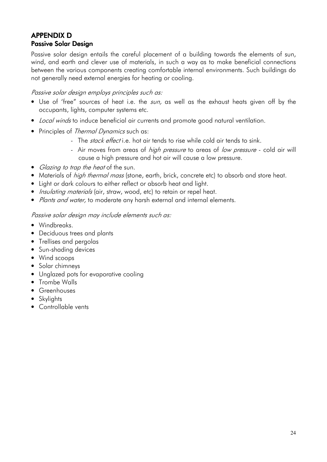## APPENDIX D **Passive Solar Design**

Passive solar design entails the careful placement of a building towards the elements of sun, wind, and earth and clever use of materials, in such a way as to make beneficial connections between the various components creating comfortable internal environments. Such buildings do not generally need external energies for heating or cooling.

#### Passive solar design employs principles such as:

- Use of 'free" sources of heat i.e. the sun, as well as the exhaust heats given off by the occupants, lights, computer systems etc.
- Local winds to induce beneficial air currents and promote good natural ventilation.
- Principles of *Thermal Dynamics* such as:
	- The *stack effect* i.e. hot air tends to rise while cold air tends to sink.
	- Air moves from areas of *high pressure* to areas of low pressure cold air will cause a high pressure and hot air will cause a low pressure.
- Glazing to trap the heat of the sun.
- Materials of *high thermal mass* (stone, earth, brick, concrete etc) to absorb and store heat.
- Light or dark colours to either reflect or absorb heat and light.
- *Insulating materials* (air, straw, wood, etc) to retain or repel heat.
- Plants and water, to moderate any harsh external and internal elements.

#### Passive solar design may include elements such as:

- Windbreaks.
- Deciduous trees and plants
- Trellises and pergolas
- Sun-shading devices
- Wind scoops
- Solar chimneys
- Unglazed pots for evaporative cooling
- Trombe Walls
- Greenhouses
- Skylights
- Controllable vents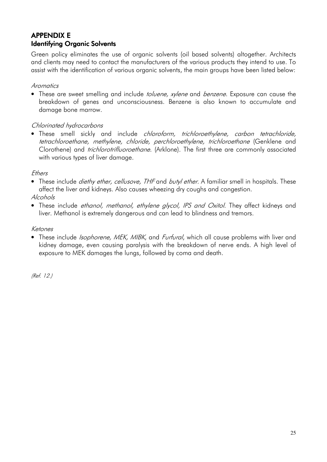## **APPENDIX E Identifying Organic Solvents**

Green policy eliminates the use of organic solvents (oil based solvents) altogether. Architects and clients may need to contact the manufacturers of the various products they intend to use. To assist with the identification of various organic solvents, the main groups have been listed below:

#### **Aromatics**

• These are sweet smelling and include *toluene, xylene* and *benzene*. Exposure can cause the breakdown of genes and unconsciousness. Benzene is also known to accumulate and damage bone marrow.

#### Chlorinated hydrocarbons

• These smell sickly and include *chloroform, trichloroethylene, carbon tetrachloride,* tetrachloroethane, methylene, chloride, perchloroethylene, trichloroethane (Genklene and Clorothene) and trichlorotrifluoroethane. (Arklone). The first three are commonly associated with various types of liver damage.

#### Ethers

• These include *diethy ether, cellusove, THF* and *butyl ether*. A familiar smell in hospitals. These affect the liver and kidneys. Also causes wheezing dry coughs and congestion.

#### Alcohols

• These include ethanol, methanol, ethylene glycol, IPS and Oxitol. They affect kidneys and liver. Methanol is extremely dangerous and can lead to blindness and tremors.

#### Ketones

• These include *Isophorene, MEK, MIBK*, and *Furfural*, which all cause problems with liver and kidney damage, even causing paralysis with the breakdown of nerve ends. A high level of exposure to MEK damages the lungs, followed by coma and death.

(Ref. 12.)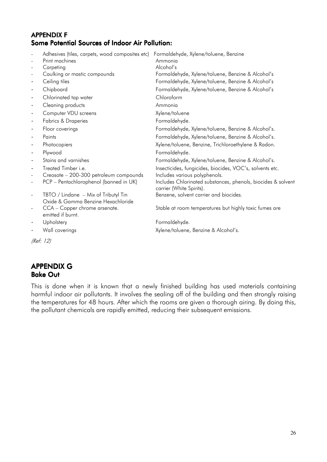#### APPENDIX F Some Potential Sources of Indoor Air Pollution:

| $\overline{\phantom{a}}$     | Adhesives (tiles, carpets, wood composites etc)    | Formaldehyde, Xylene/toluene, Benzine                                                    |
|------------------------------|----------------------------------------------------|------------------------------------------------------------------------------------------|
|                              | Print machines                                     | Ammonia                                                                                  |
|                              | Carpeting                                          | Alcohol's                                                                                |
| $\overline{\phantom{a}}$     | Caulking or mastic compounds                       | Formaldehyde, Xylene/toluene, Benzine & Alcohol's                                        |
| $\blacksquare$               | Ceiling tiles                                      | Formaldehyde, Xylene/toluene, Benzine & Alcohol's                                        |
| $\blacksquare$               | Chipboard                                          | Formaldehyde, Xylene/toluene, Benzine & Alcohol's                                        |
| $\blacksquare$               | Chlorinated tap water                              | Chloroform                                                                               |
| $\blacksquare$               | Cleaning products                                  | Ammonia                                                                                  |
| $\blacksquare$               | Computer VDU screens                               | Xylene/toluene                                                                           |
| $\blacksquare$               | <b>Fabrics &amp; Draperies</b>                     | Formaldehyde.                                                                            |
| $\blacksquare$               | Floor coverings                                    | Formaldehyde, Xylene/toluene, Benzine & Alcohol's.                                       |
| $\sim$                       | Paints                                             | Formaldehyde, Xylene/toluene, Benzine & Alcohol's.                                       |
| $\blacksquare$               | Photocopiers                                       | Xylene/toluene, Benzine, Trichloroethylene & Radon.                                      |
| $\qquad \qquad \blacksquare$ | Plywood                                            | Formaldehyde.                                                                            |
| $\blacksquare$               | Stains and varnishes                               | Formaldehyde, Xylene/toluene, Benzine & Alcohol's.                                       |
| $\overline{\phantom{a}}$     | Treated Timber <i>i.e.</i>                         | Insecticides, fungicides, biocides, VOC's, solvents etc.                                 |
| $\overline{a}$               | Creosote - 200-300 petroleum compounds             | Includes various polyphenols.                                                            |
| $\overline{\phantom{a}}$     | PCP - Pentachlorophenol (banned in UK)             | Includes Chlorinated substances, phenols, biocides & solvent<br>carrier (White Spirits). |
| $\overline{\phantom{a}}$     | TBTO / Lindane - Mix of Tributyl Tin               | Benzene, solvent carrier and biocides.                                                   |
|                              | Oxide & Gamma Benzine Hexachloride                 |                                                                                          |
| $\overline{\phantom{a}}$     | CCA - Copper chrome arsenate.<br>emitted if burnt. | Stable at room temperatures but highly toxic fumes are                                   |
|                              | Upholstery                                         | Formaldehyde.                                                                            |
| $\blacksquare$               | Wall coverings                                     | Xylene/toluene, Benzine & Alcohol's.                                                     |

(Ref: 12)

#### APPENDIX G Bake Out

This is done when it is known that a newly finished building has used materials containing harmful indoor air pollutants. It involves the sealing off of the building and then strongly raising the temperatures for 48 hours. After which the rooms are given a thorough airing. By doing this, the pollutant chemicals are rapidly emitted, reducing their subsequent emissions.